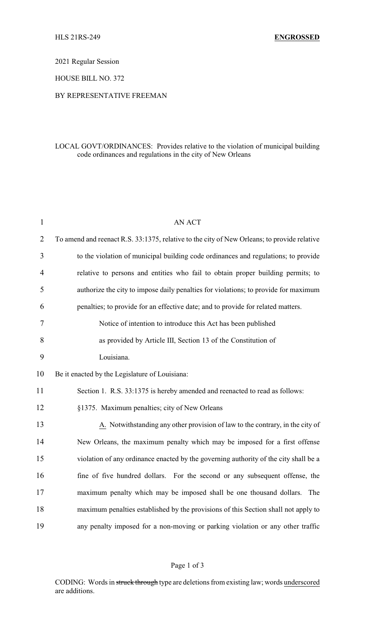2021 Regular Session

HOUSE BILL NO. 372

## BY REPRESENTATIVE FREEMAN

## LOCAL GOVT/ORDINANCES: Provides relative to the violation of municipal building code ordinances and regulations in the city of New Orleans

| $\mathbf{1}$   | <b>AN ACT</b>                                                                               |
|----------------|---------------------------------------------------------------------------------------------|
| $\overline{2}$ | To amend and reenact R.S. 33:1375, relative to the city of New Orleans; to provide relative |
| 3              | to the violation of municipal building code ordinances and regulations; to provide          |
| 4              | relative to persons and entities who fail to obtain proper building permits; to             |
| 5              | authorize the city to impose daily penalties for violations; to provide for maximum         |
| 6              | penalties; to provide for an effective date; and to provide for related matters.            |
| 7              | Notice of intention to introduce this Act has been published                                |
| 8              | as provided by Article III, Section 13 of the Constitution of                               |
| 9              | Louisiana.                                                                                  |
| 10             | Be it enacted by the Legislature of Louisiana:                                              |
| 11             | Section 1. R.S. 33:1375 is hereby amended and reenacted to read as follows:                 |
| 12             | §1375. Maximum penalties; city of New Orleans                                               |
| 13             | A. Notwithstanding any other provision of law to the contrary, in the city of               |
| 14             | New Orleans, the maximum penalty which may be imposed for a first offense                   |
| 15             | violation of any ordinance enacted by the governing authority of the city shall be a        |
| 16             | fine of five hundred dollars. For the second or any subsequent offense, the                 |
| 17             | maximum penalty which may be imposed shall be one thousand dollars. The                     |
| 18             | maximum penalties established by the provisions of this Section shall not apply to          |
| 19             | any penalty imposed for a non-moving or parking violation or any other traffic              |

## Page 1 of 3

CODING: Words in struck through type are deletions from existing law; words underscored are additions.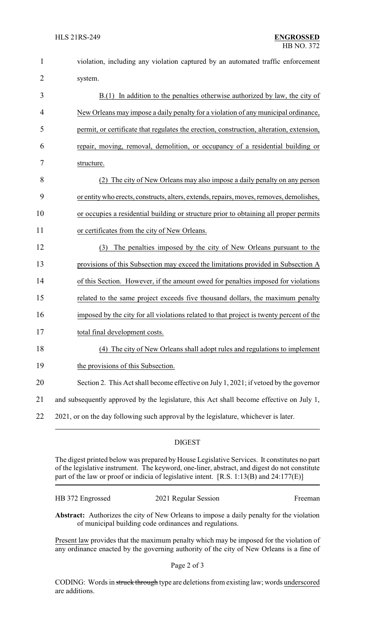| $\mathbf{1}$   | violation, including any violation captured by an automated traffic enforcement          |  |  |
|----------------|------------------------------------------------------------------------------------------|--|--|
| $\overline{2}$ | system.                                                                                  |  |  |
| 3              | $B(1)$ In addition to the penalties otherwise authorized by law, the city of             |  |  |
| 4              | New Orleans may impose a daily penalty for a violation of any municipal ordinance,       |  |  |
| 5              | permit, or certificate that regulates the erection, construction, alteration, extension, |  |  |
| 6              | repair, moving, removal, demolition, or occupancy of a residential building or           |  |  |
| 7              | structure.                                                                               |  |  |
| 8              | The city of New Orleans may also impose a daily penalty on any person<br>(2)             |  |  |
| 9              | or entity who erects, constructs, alters, extends, repairs, moves, removes, demolishes,  |  |  |
| 10             | or occupies a residential building or structure prior to obtaining all proper permits    |  |  |
| 11             | or certificates from the city of New Orleans.                                            |  |  |
| 12             | The penalties imposed by the city of New Orleans pursuant to the<br>(3)                  |  |  |
| 13             | provisions of this Subsection may exceed the limitations provided in Subsection A        |  |  |
| 14             | of this Section. However, if the amount owed for penalties imposed for violations        |  |  |
| 15             | related to the same project exceeds five thousand dollars, the maximum penalty           |  |  |
| 16             | imposed by the city for all violations related to that project is twenty percent of the  |  |  |
| 17             | total final development costs.                                                           |  |  |
| 18             | (4) The city of New Orleans shall adopt rules and regulations to implement               |  |  |
| 19             | the provisions of this Subsection.                                                       |  |  |
| 20             | Section 2. This Act shall become effective on July 1, 2021; if vetoed by the governor    |  |  |
| 21             | and subsequently approved by the legislature, this Act shall become effective on July 1, |  |  |
| 22             | 2021, or on the day following such approval by the legislature, whichever is later.      |  |  |
|                | <b>DIGEST</b>                                                                            |  |  |

The digest printed below was prepared by House Legislative Services. It constitutes no part of the legislative instrument. The keyword, one-liner, abstract, and digest do not constitute part of the law or proof or indicia of legislative intent. [R.S. 1:13(B) and 24:177(E)]

| HB 372 Engrossed | 2021 Regular Session | Freeman |
|------------------|----------------------|---------|
|                  |                      |         |

**Abstract:** Authorizes the city of New Orleans to impose a daily penalty for the violation of municipal building code ordinances and regulations.

Present law provides that the maximum penalty which may be imposed for the violation of any ordinance enacted by the governing authority of the city of New Orleans is a fine of

CODING: Words in struck through type are deletions from existing law; words underscored are additions.